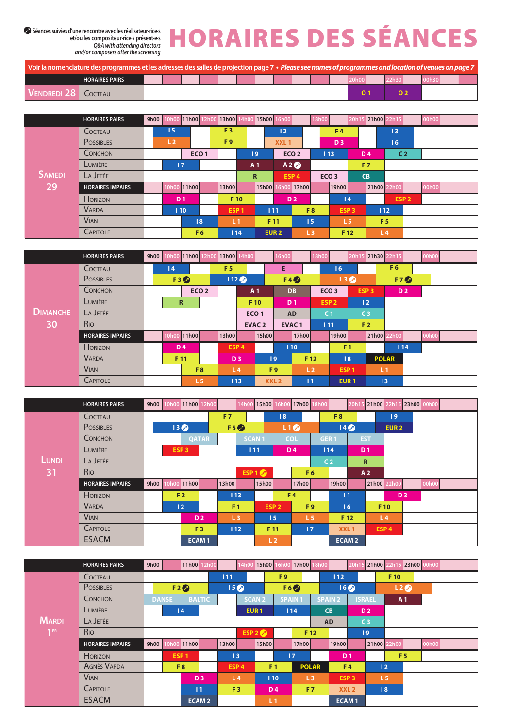**et/ou les compositeur·rice·s présent·e·s** *Q&A with attending directors and/or composers after the screening*

## Séances suivies d'une rencontre avec les réalisateur·rice-s<br>
et/ou les compositeur-rice-s présent-e-s<br>
and/or compositeur-rice-s présent-e-s<br>
and/or dentant de talent de critique de critique

| Voir la nomenclature des programmes et les adresses des salles de projection page 7 • Please see names of programmes and location of venues on page 7 |  |  |  |  |  |       |  |  |  |
|-------------------------------------------------------------------------------------------------------------------------------------------------------|--|--|--|--|--|-------|--|--|--|
| <b>HORAIRES PAIRS</b>                                                                                                                                 |  |  |  |  |  | 20h00 |  |  |  |
| I VENDREDI 28 COCTEAU                                                                                                                                 |  |  |  |  |  |       |  |  |  |

|               | <b>HORAIRES PAIRS</b>   | 9h00 | 0 <sub>h</sub> oo | 11h00            | 2h0 | 13h00            |                |                  | 15h00 16h00      |       | 18h00          |                  | 20h1           | 21h00 22h15    |                  | <b>00h00</b> |  |
|---------------|-------------------------|------|-------------------|------------------|-----|------------------|----------------|------------------|------------------|-------|----------------|------------------|----------------|----------------|------------------|--------------|--|
|               | COCTEAU                 |      | 15                |                  |     | F <sub>3</sub>   |                |                  | 12               |       |                | F <sub>4</sub>   |                |                | 13               |              |  |
|               | <b>POSSIBLES</b>        |      | L <sub>2</sub>    |                  |     | F <sub>9</sub>   |                |                  | XXL <sub>1</sub> |       |                | D <sub>3</sub>   |                |                | 16               |              |  |
|               | CONCHON                 |      |                   | ECO <sub>1</sub> |     |                  | $ 19\rangle$   |                  | ECO <sub>2</sub> |       |                | 113              |                | <b>D4</b>      | C <sub>2</sub>   |              |  |
|               | LUMIÈRE                 |      | /17/              |                  |     |                  | A <sub>1</sub> |                  | A2               |       |                |                  |                | F <sub>7</sub> |                  |              |  |
| <b>SAMEDI</b> | LA JETÉE                |      |                   |                  |     |                  | $\mathbb{R}$   |                  | ESP <sub>4</sub> |       |                | ECO <sub>3</sub> |                | <b>CB</b>      |                  |              |  |
| 29            | <b>HORAIRES IMPAIRS</b> |      | OhOO              | 11h00            |     | 13h00            |                | 15h00            |                  | 17h00 |                | 19h00            |                | 21h00 22h00    |                  | 00h00        |  |
|               | <b>HORIZON</b>          |      | D <sub>1</sub>    |                  |     | F 10             |                |                  | <b>D2</b>        |       |                |                  | 4              |                | ESP <sub>2</sub> |              |  |
|               | <b>VARDA</b>            |      | 110               |                  |     | ESP <sub>1</sub> |                | 111              |                  |       | F <sub>8</sub> | ESP <sub>3</sub> |                | 112            |                  |              |  |
|               | <b>VIAN</b>             |      |                   | 8                |     | L <sub>1</sub>   |                | F 11             |                  | 15    |                |                  | L <sub>5</sub> |                | F <sub>5</sub>   |              |  |
|               | <b>CAPITOLE</b>         |      |                   | F <sub>6</sub>   |     | 114              |                | EUR <sub>2</sub> |                  | L3    |                | F 12             |                | L <sub>4</sub> |                  |              |  |

|                 | <b>HORAIRES PAIRS</b>   | 9h00 | 0h0 | 11h00            |  | 13h00 14h00      |                  | 16h00        |                | 18h00 |                  | 20h1: | 21h30 22h15      |                | runuu  |  |
|-----------------|-------------------------|------|-----|------------------|--|------------------|------------------|--------------|----------------|-------|------------------|-------|------------------|----------------|--------|--|
|                 | COCTEAU                 |      | 4   |                  |  | F <sub>5</sub>   |                  | Е            |                |       | 16               |       |                  | F <sub>6</sub> |        |  |
|                 | <b>POSSIBLES</b>        |      |     | F3               |  | 112 <sub>o</sub> |                  | F4           |                |       | L3               |       |                  | F7             |        |  |
|                 | <b>CONCHON</b>          |      |     | ECO <sub>2</sub> |  |                  | A <sub>1</sub>   | <b>DB</b>    |                |       | ECO <sub>3</sub> |       | ESP <sub>3</sub> | D <sub>2</sub> |        |  |
|                 | LUMIÈRE                 |      |     | $\mathbf R$      |  |                  | F 10             | <b>D</b> 1   |                |       | ESP <sub>2</sub> |       | 12               |                |        |  |
| <b>DIMANCHE</b> | LA JETÉE                |      |     |                  |  |                  | ECO <sub>1</sub> | <b>AD</b>    |                |       | C <sub>1</sub>   |       | C <sub>3</sub>   |                |        |  |
| 30              | <b>R<sub>IO</sub></b>   |      |     |                  |  |                  | <b>EVAC2</b>     | <b>EVAC1</b> |                |       | 111              |       | F <sub>2</sub>   |                |        |  |
|                 | <b>HORAIRES IMPAIRS</b> |      | 0h0 | 11h00            |  | 13h00            | 15h00            |              | 17h00          |       | 19h00            |       | 21h00 22h00      |                | יטווטי |  |
|                 | <b>HORIZON</b>          |      |     | <b>D4</b>        |  | ESP <sub>4</sub> |                  | 110          |                |       | F <sub>1</sub>   |       |                  | 114            |        |  |
|                 | <b>VARDA</b>            |      |     | F 11             |  | D <sub>3</sub>   | 9                |              | F 12           |       |                  | 8     |                  | <b>POLAR</b>   |        |  |
|                 | <b>VIAN</b>             |      |     | F <sub>8</sub>   |  | L <sub>4</sub>   | F <sub>9</sub>   |              | L <sub>2</sub> |       | ESP <sub>1</sub> |       |                  | L <sub>1</sub> |        |  |
|                 | <b>CAPITOLE</b>         |      |     | L <sub>5</sub>   |  | 113              | XXL <sub>2</sub> |              | 11             |       | EUR <sub>1</sub> |       |                  | 13             |        |  |

|       | <b>HORAIRES PAIRS</b>   | 9h00 10h00 |                  | 11h00 12h00      |                | 14h0         | 15h00 16h00      |            | 17h00          | 8h00             |                  | 20h1 | 21h00 22h1     |                  | 23h00 00h00 |  |
|-------|-------------------------|------------|------------------|------------------|----------------|--------------|------------------|------------|----------------|------------------|------------------|------|----------------|------------------|-------------|--|
|       | COCTEAU                 |            |                  |                  | F <sub>7</sub> |              |                  | 8          |                |                  | F <sub>8</sub>   |      |                | 9                |             |  |
|       | <b>POSSIBLES</b>        |            | 13 <sup>o</sup>  |                  | F5             |              |                  |            | L1             |                  | 14 <sup>o</sup>  |      |                | EUR <sub>2</sub> |             |  |
|       | CONCHON                 |            |                  | <b>QATAR</b>     |                | <b>SCAN1</b> |                  | <b>COL</b> |                | GER <sub>1</sub> |                  |      | <b>EST</b>     |                  |             |  |
|       | LUMIÈRE                 |            |                  | ESP <sub>3</sub> |                | 111          |                  |            | <b>D4</b>      |                  | 114              |      | D <sub>1</sub> |                  |             |  |
| LUNDI | LA JETÉE                |            |                  |                  |                |              |                  |            |                |                  | C <sub>2</sub>   |      | $\mathbf R$    |                  |             |  |
| 31    | <b>R<sub>IO</sub></b>   |            |                  |                  |                |              | ESP 1            |            | F <sub>6</sub> |                  |                  |      | A <sub>2</sub> |                  |             |  |
|       | <b>HORAIRES IMPAIRS</b> | 9h00       | 0 <sub>h00</sub> | 11h00            | 13h00          |              | 15h00            |            | 17h00          |                  | 19h00            |      | 21h00 22h00    |                  | 00h00       |  |
|       | <b>HORIZON</b>          |            |                  | F <sub>2</sub>   | 113            |              |                  |            | F <sub>4</sub> |                  | 11               |      |                | D <sub>3</sub>   |             |  |
|       | <b>VARDA</b>            |            | 12               |                  | F <sub>1</sub> |              | ESP <sub>2</sub> |            | F <sub>9</sub> |                  | 16               |      |                | F 10             |             |  |
|       | <b>VIAN</b>             |            |                  | D <sub>2</sub>   | L3             |              | 15               |            | L <sub>5</sub> |                  | F 12             |      |                | L <sub>4</sub>   |             |  |
|       | <b>CAPITOLE</b>         |            |                  | F <sub>3</sub>   | 112            |              | F 11             |            | 17             |                  | XXL <sub>1</sub> |      |                | ESP <sub>4</sub> |             |  |
|       | <b>ESACM</b>            |            |                  | <b>ECAM1</b>     |                |              | L <sub>2</sub>   |            |                |                  | <b>ECAM2</b>     |      |                |                  |             |  |

|                 | <b>HORAIRES PAIRS</b>   | 9h00 |              | 11h00 12h00      |                  |              | 14h00 15h00 16h00 17h00 18h00 |                |                 |                |                  |                  |                | 20h15 21h00 22h15 23h00 00h00 |       |  |
|-----------------|-------------------------|------|--------------|------------------|------------------|--------------|-------------------------------|----------------|-----------------|----------------|------------------|------------------|----------------|-------------------------------|-------|--|
|                 | COCTEAU                 |      |              |                  | 111              |              |                               | F <sub>9</sub> |                 |                | 112              |                  |                | F 10                          |       |  |
|                 | <b>POSSIBLES</b>        |      |              | F2               | 15 <sub>o</sub>  |              |                               |                | F6              |                | 16 <sup>o</sup>  |                  |                | L2                            |       |  |
|                 | CONCHON                 |      | <b>DANSE</b> | <b>BALTIC</b>    |                  | <b>SCAN2</b> |                               | <b>SPAIN1</b>  |                 |                | <b>SPAIN 2</b>   |                  | <b>ISRAEL</b>  | A <sub>1</sub>                |       |  |
|                 | LUMIÈRE                 |      |              | $\overline{14}$  |                  |              | EUR <sub>1</sub>              |                | 114             |                | <b>CB</b>        |                  | D <sub>2</sub> |                               |       |  |
| <b>MARDI</b>    | LA JETÉE                |      |              |                  |                  |              |                               |                |                 |                | <b>AD</b>        |                  | C <sub>3</sub> |                               |       |  |
| 1 <sup>ER</sup> | R <sub>IO</sub>         |      |              |                  |                  |              | ESP $2$                       |                |                 | F 12           |                  |                  | 9              |                               |       |  |
|                 | <b>HORAIRES IMPAIRS</b> | 9h00 |              | 11h00            | 13h00            |              | 15h00                         |                | 17h00           |                | 19h00            |                  |                | 21h00 22h00                   | 00h00 |  |
|                 | <b>HORIZON</b>          |      |              | ESP <sub>1</sub> | 13               |              |                               |                | $\overline{17}$ |                | <b>D1</b>        |                  |                | F <sub>5</sub>                |       |  |
|                 | <b>AGNÈS VARDA</b>      |      |              | F <sub>8</sub>   | ESP <sub>4</sub> |              | F <sub>1</sub>                |                |                 | <b>POLAR</b>   |                  | F <sub>4</sub>   |                | 12                            |       |  |
|                 | <b>VIAN</b>             |      |              | D <sub>3</sub>   | L4               |              | 110                           |                |                 | L <sub>3</sub> | ESP <sub>3</sub> |                  |                | L <sub>5</sub>                |       |  |
|                 | <b>CAPITOLE</b>         |      |              | 11               | F <sub>3</sub>   |              |                               | <b>D4</b>      |                 | F <sub>7</sub> |                  | XXL <sub>2</sub> |                | 8                             |       |  |
|                 | <b>ESACM</b>            |      |              | <b>ECAM2</b>     |                  |              | L <sub>1</sub>                |                |                 |                | <b>ECAM1</b>     |                  |                |                               |       |  |